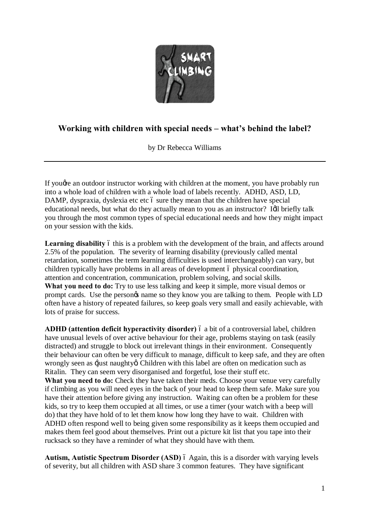

## **Working with children with special needs – what's behind the label?**

by Dr Rebecca Williams

If you are an outdoor instructor working with children at the moment, you have probably run into a whole load of children with a whole load of labels recently. ADHD, ASD, LD, DAMP, dyspraxia, dyslexia etc etc 6 sure they mean that the children have special educational needs, but what do they actually mean to you as an instructor? Idl briefly talk you through the most common types of special educational needs and how they might impact on your session with the kids.

**Learning disability** 6 this is a problem with the development of the brain, and affects around 2.5% of the population. The severity of learning disability (previously called mental retardation, sometimes the term learning difficulties is used interchangeably) can vary, but children typically have problems in all areas of development 6 physical coordination, attention and concentration, communication, problem solving, and social skills. **What you need to do:** Try to use less talking and keep it simple, more visual demos or prompt cards. Use the persongs name so they know you are talking to them. People with LD often have a history of repeated failures, so keep goals very small and easily achievable, with lots of praise for success.

**ADHD** (attention deficit hyperactivity disorder) 6 a bit of a controversial label, children have unusual levels of over active behaviour for their age, problems staying on task (easily distracted) and struggle to block out irrelevant things in their environment. Consequently their behaviour can often be very difficult to manage, difficult to keep safe, and they are often wrongly seen as  $\exists$ just naughty $\alpha$  Children with this label are often on medication such as Ritalin. They can seem very disorganised and forgetful, lose their stuff etc.

What you need to do: Check they have taken their meds. Choose your venue very carefully if climbing as you will need eyes in the back of your head to keep them safe. Make sure you have their attention before giving any instruction. Waiting can often be a problem for these kids, so try to keep them occupied at all times, or use a timer (your watch with a beep will do) that they have hold of to let them know how long they have to wait. Children with ADHD often respond well to being given some responsibility as it keeps them occupied and makes them feel good about themselves. Print out a picture kit list that you tape into their rucksack so they have a reminder of what they should have with them.

Autism, Autistic Spectrum Disorder (ASD)  $\acute{o}$  Again, this is a disorder with varying levels of severity, but all children with ASD share 3 common features. They have significant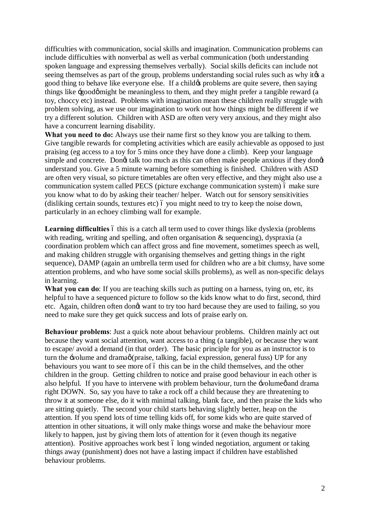difficulties with communication, social skills and imagination. Communication problems can include difficulties with nonverbal as well as verbal communication (both understanding spoken language and expressing themselves verbally). Social skills deficits can include not seeing themselves as part of the group, problems understanding social rules such as why it as a good thing to behave like everyone else. If a child to problems are quite severe, then saying things like  $\div$  good  $\phi$  might be meaningless to them, and they might prefer a tangible reward (a toy, choccy etc) instead. Problems with imagination mean these children really struggle with problem solving, as we use our imagination to work out how things might be different if we try a different solution. Children with ASD are often very very anxious, and they might also have a concurrent learning disability.

**What you need to do:** Always use their name first so they know you are talking to them. Give tangible rewards for completing activities which are easily achievable as opposed to just praising (eg access to a toy for 5 mins once they have done a climb). Keep your language simple and concrete. Dongt talk too much as this can often make people anxious if they dong understand you. Give a 5 minute warning before something is finished. Children with ASD are often very visual, so picture timetables are often very effective, and they might also use a communication system called PECS (picture exchange communication system) 6 make sure you know what to do by asking their teacher/ helper. Watch out for sensory sensitivities (disliking certain sounds, textures etc) 6 you might need to try to keep the noise down, particularly in an echoey climbing wall for example.

**Learning difficulties** 6 this is a catch all term used to cover things like dyslexia (problems with reading, writing and spelling, and often organisation & sequencing), dyspraxia (a coordination problem which can affect gross and fine movement, sometimes speech as well, and making children struggle with organising themselves and getting things in the right sequence), DAMP (again an umbrella term used for children who are a bit clumsy, have some attention problems, and who have some social skills problems), as well as non-specific delays in learning.

What you can do: If you are teaching skills such as putting on a harness, tying on, etc, its helpful to have a sequenced picture to follow so the kids know what to do first, second, third etc. Again, children often dongt want to try too hard because they are used to failing, so you need to make sure they get quick success and lots of praise early on.

**Behaviour problems**: Just a quick note about behaviour problems. Children mainly act out because they want social attention, want access to a thing (a tangible), or because they want to escape/ avoid a demand (in that order). The basic principle for you as an instructor is to turn the  $\pm$ volume and drama $\phi$  (praise, talking, facial expression, general fuss) UP for any behaviours you want to see more of 6 this can be in the child themselves, and the other children in the group. Getting children to notice and praise good behaviour in each other is also helpful. If you have to intervene with problem behaviour, turn the  $\div$ olume $\phi$  and drama right DOWN. So, say you have to take a rock off a child because they are threatening to throw it at someone else, do it with minimal talking, blank face, and then praise the kids who are sitting quietly. The second your child starts behaving slightly better, heap on the attention. If you spend lots of time telling kids off, for some kids who are quite starved of attention in other situations, it will only make things worse and make the behaviour more likely to happen, just by giving them lots of attention for it (even though its negative attention). Positive approaches work best 6 long winded negotiation, argument or taking things away (punishment) does not have a lasting impact if children have established behaviour problems.